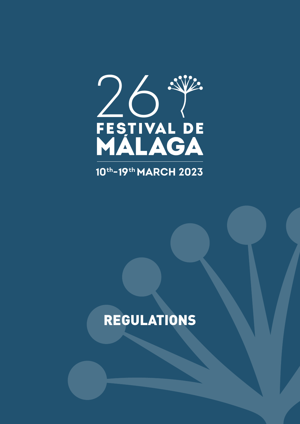

# REGULATIONS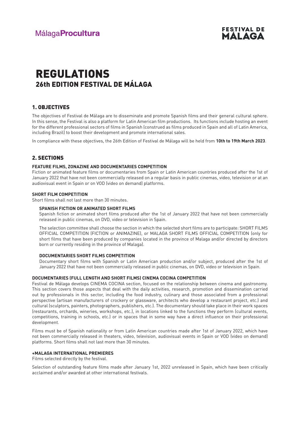**FESTIVAL DE** MALAGA

# 26th EDITION FESTIVAL DE MÁLAGA REGULATIONS

# 1. OBJECTIVES

The objectives of Festival de Málaga are to disseminate and promote Spanish films and their general cultural sphere. In this sense, the Festival is also a platform for Latin American film productions. Its functions include hosting an event for the different professional sectors of films in Spanish (construed as films produced in Spain and all of Latin America, including Brazil) to boost their development and promote international sales.

In compliance with these objectives, the 26th Edition of Festival de Málaga will be held from **10th to 19th March 2023**.

# 2. SECTIONS

#### **FEATURE FILMS, ZONAZINE AND DOCUMENTARIES COMPETITION**

Fiction or animated feature films or documentaries from Spain or Latin American countries produced after the 1st of January 2022 that have not been commercially released on a regular basis in public cinemas, video, television or at an audiovisual event in Spain or on VOD (video on demand) platforms.

#### **SHORT FILM COMPETITION**

Short films shall not last more than 30 minutes.

#### **SPANISH FICTION OR ANIMATED SHORT FILMS**

Spanish fiction or animated short films produced after the 1st of January 2022 that have not been commercially released in public cinemas, on DVD, video or television in Spain.

The selection committee shall choose the section in which the selected short films are to participate: SHORT FILMS OFFICIAL COMPETITION (FICTION or ANIMAZINE), or MALAGA SHORT FILMS OFFICIAL COMPETITION (only for short films that have been produced by companies located in the province of Malaga and/or directed by directors born or currently residing in the province of Malaga).

#### **DOCUMENTARIES SHORT FILMS COMPETITION**

Documentary short films with Spanish or Latin American production and/or subject, produced after the 1st of January 2022 that have not been commercially released in public cinemas, on DVD, video or television in Spain.

#### **DOCUMENTARIES (FULL LENGTH AND SHORT FILMS) CINEMA COCINA COMPETITION**

Festival de Málaga develops CINEMA COCINA section, focused on the relationship between cinema and gastronomy. This section covers those aspects that deal with the daily activities, research, promotion and dissemination carried out by professionals in this sector, including the food industry, culinary and those associated from a professional perspective (artisan manufacturers of crockery or glassware, architects who develop a restaurant project, etc.) and cultural (sculptors, painters, photographers, publishers, etc.). The documentary should take place in their work spaces (restaurants, orchards, wineries, workshops, etc.), in locations linked to the functions they perform (cultural events, competitions, training in schools, etc.) or in spaces that in some way have a direct influence on their professional development.

Films must be of Spanish nationality or from Latin American countries made after 1st of January 2022, which have not been commercially released in theaters, video, television, audiovisual events in Spain or VOD (video on demand) platforms. Short films shall not last more than 30 minutes.

#### **+MALAGA INTERNATIONAL PREMIERES**

Films selected directly by the festival.

Selection of outstanding feature films made after January 1st, 2022 unreleased in Spain, which have been critically acclaimed and/or awarded at other international festivals.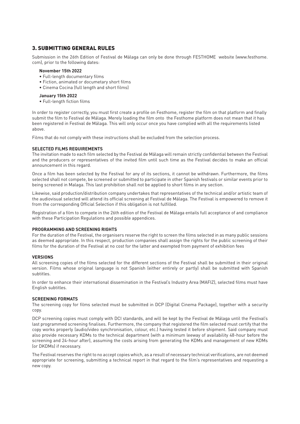## 3. SUBMITTING GENERAL RULES

Submission in the 26th Edition of Festival de Málaga can only be done through FESTHOME website (www.festhome. com), prior to the following dates:

#### **November 15th 2022**

- Full-length documentary films
- Fiction, animated or documetary short films
- Cinema Cocina (full length and short films)

#### **January 15th 2022**

• Full-length fiction films

In order to register correctly, you must first create a profile on Festhome, register the film on that platform and finally submit the film to Festival de Málaga. Merely loading the film onto the Festhome platform does not mean that it has been registered in Festival de Málaga. This will only occur once you have complied with all the requirements listed above.

Films that do not comply with these instructions shall be excluded from the selection process.

#### **SELECTED FILMS REQUIREMENTS**

The invitation made to each film selected by the Festival de Málaga will remain strictly confidential between the Festival and the producers or representatives of the invited film until such time as the Festival decides to make an official announcement in this regard.

Once a film has been selected by the Festival for any of its sections, it cannot be withdrawn. Furthermore, the films selected shall not compete, be screened or submitted to participate in other Spanish festivals or similar events prior to being screened in Malaga. This last prohibition shall not be applied to short films in any section.

Likewise, said production/distribution company undertakes that representatives of the technical and/or artistic team of the audiovisual selected will attend its official screening at Festival de Málaga. The Festival is empowered to remove it from the corresponding Official Selection if this obligation is not fulfilled.

Registration of a film to compete in the 26th edition of the Festival de Málaga entails full acceptance of and compliance with these Participation Regulations and possible appendices.

#### **PROGRAMMING AND SCREENING RIGHTS**

For the duration of the Festival, the organisers reserve the right to screen the films selected in as many public sessions as deemed appropriate. In this respect, production companies shall assign the rights for the public screening of their films for the duration of the Festival at no cost for the latter and exempted from payment of exhibition fees

#### **VERSIONS**

All screening copies of the films selected for the different sections of the Festival shall be submitted in their original version. Films whose original language is not Spanish (either entirely or partly) shall be submitted with Spanish subtitles.

In order to enhance their international dissemination in the Festival's Industry Area (MAFIZ), selected films must have English subtitles.

#### **SCREENING FORMATS**

The screening copy for films selected must be submitted in DCP (Digital Cinema Package), together with a security copy.

DCP screening copies must comply with DCI standards, and will be kept by the Festival de Málaga until the Festival's last programmed screening finalises. Furthermore, the company that registered the film selected must certify that the copy works properly (audio/video synchronisation, colour, etc.) having tested it before shipment. Said company must also provide necessary KDMs to the technical department (with a minimum leeway of availability 48-hour before the screening and 24-hour after), assuming the costs arising from generating the KDMs and management of new KDMs (or DKDMs) if necessary.

The Festival reserves the right to no accept copies which, as a result of necessary technical verifications, are not deemed appropriate for screening, submitting a technical report in that regard to the film's representatives and requesting a new copy.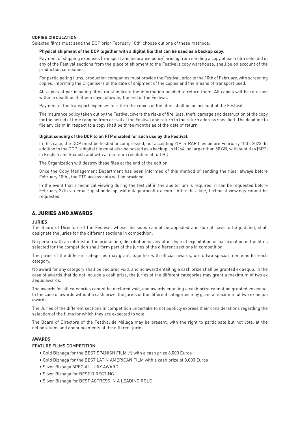#### **COPIES CIRCULATION**

Selected films must send the DCP prior February 10th choose out one of these methods:

#### **Physical shipment of the DCP together with a digital file that can be used as a backup copy.**

Payment of shipping expenses (transport and insurance policy) arising from sending a copy of each film selected in any of the Festival sections from the place of shipment to the Festival's copy warehouse, shall be on account of the production companies.

For participating films, production companies must provide the Festival, prior to the 10th of February, with screening copies, informing the Organisers of the date of shipment of the copies and the means of transport used.

All copies of participating films must indicate the information needed to return them. All copies will be returned within a deadline of fifteen days following the end of the Festival.

Payment of the transport expenses to return the copies of the films shall be on account of the Festival.

The insurance policy taken out by the Festival covers the risks of fire, loss, theft, damage and destruction of the copy for the period of time ranging from arrival at the Festival and return to the return address specified. The deadline to file any claim in respect to a copy shall be three months as of the date of return.

#### **Digital sending of the DCP to an FTP enabled for such use by the Festival.**

In this case, the DCP must be hosted uncompressed, not accepting ZIP or RAR files before February 10th, 2023. In addition to the DCP, a digital file must also be hosted as a backup, in H264, no larger than 50 GB, with subtitles (SRT) in English and Spanish and with a minimum resolution of full HD.

The Organization will destroy these files at the end of the edition.

Once the Copy Management Department has been informed of this method of sending the files (always before February 10th), the FTP access data will be provided.

In the event that a technical viewing during the festival in the auditorium is required, it can be requested before February 27th via email: gestiondecopias@malagaprocultura.com . After this date, technical viewings cannot be requested.

## 4. JURIES AND AWARDS

#### **JURIES**

The Board of Directors of the Festival, whose decisions cannot be appealed and do not have to be justified, shall designate the juries for the different sections in competition.

No person with an interest in the production, distribution or any other type of exploitation or participation in the films selected for the competition shall form part of the juries of the different sections in competition.

The juries of the different categories may grant, together with official awards, up to two special mentions for each category.

No award for any category shall be declared void, and no award entailing a cash prize shall be granted ex aequo. In the case of awards that do not include a cash prize, the juries of the different categories may grant a maximum of two ex aequo awards.

The awards for all categories cannot be declared void, and awards entailing a cash prize cannot be granted ex aequo. In the case of awards without a cash prize, the juries of the different categories may grant a maximum of two ex aequo awards.

The Juries of the different sections in competition undertake to not publicly express their considerations regarding the selection of the films for which they are expected to vote.

The Board of Directors of the Festival de Málaga may be present, with the right to participate but not vote, at the deliberations and announcements of the different juries.

#### **AWARDS**

#### FEATURE FILMS COMPETITION

- Gold Biznaga for the BEST SPANISH FILM (\*) with a cash prize 8,000 Euros
- Gold Biznaga for the BEST LATIN AMERICAN FILM with a cash prize of 8,000 Euros
- Silver Biznaga SPECIAL JURY AWARD
- Silver Biznaga for BEST DIRECTING
- Silver Biznaga for BEST ACTRESS IN A LEADING ROLE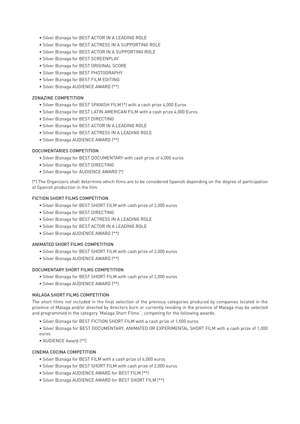- Silver Biznaga for BEST ACTOR IN A LEADING ROLE
- Silver Biznaga for BEST ACTRESS IN A SUPPORTING ROLE
- Silver Biznaga for BEST ACTOR IN A SUPPORTING ROLE
- Silver Biznaga for BEST SCREENPLAY
- Silver Biznaga for BEST ORIGINAL SCORE
- Silver Biznaga for BEST PHOTOGRAPHY
- Silver Biznaga for BEST FILM EDITING
- Silver Biznaga AUDIENCE AWARD (\*\*)

#### ZONAZINE COMPETITION

- Silver Biznaga for BEST SPANISH FILM (\*) with a cash prize 4,000 Euros
- Silver Biznaga for BEST LATIN AMERICAN FILM with a cash prize 4,000 Euros
- Silver Biznaga for BEST DIRECTING
- Silver Biznaga for BEST ACTOR IN A LEADING ROLE
- Silver Biznaga for BEST ACTRESS IN A LEADING ROLE
- Silver Biznaga AUDIENCE AWARD (\*\*)

#### DOCUMENTARIES COMPETITION

- Silver Biznaga for BEST DOCUMENTARY with cash prize of 4,000 euros
- Silver Biznaga for BEST DIRECTING
- Silver Biznaga for AUDIENCE AWARD (\*)

(\*) The Organizers shall determine which films are to be considered Spanish depending on the degree of participation of Spanish production in the film.

#### FICTION SHORT FILMS COMPETITION

- Silver Biznaga for BEST SHORT FILM with cash prize of 2,000 euros
- Silver Biznaga for BEST DIRECTING
- Silver Biznaga for BEST ACTRESS IN A LEADING ROLE
- Silver Biznaga for BEST ACTOR IN A LEADING ROLE
- Silver Biznaga AUDIENCE AWARD (\*\*)

#### ANIMATED SHORT FILMS COMPETITION

- Silver Biznaga for BEST SHORT FILM with cash prize of 2,000 euros
- Silver Biznaga AUDIENCE AWARD (\*\*)

#### DOCUMENTARY SHORT FILMS COMPETITION

- Silver Biznaga for BEST SHORT FILM with cash prize of 2,000 euros
- Silver Biznaga AUDIENCE AWARD (\*\*)

#### MÁLAGA SHORT FILMS COMPETITION

The short films not included in the final selection of the previous categories produced by companies located in the province of Malaga and/or directed by directors born or currently residing in the province of Malaga may be selected and programmed in the category 'Malaga Short Films ', competing for the following awards:

- Silver Biznaga for BEST FICTION SHORT FILM with a cash prize of 1,000 euros
- Silver Biznaga for BEST DOCUMENTARY, ANIMATED OR EXPERIMENTAL SHORT FILM with a cash prize of 1,000 euros
- AUDIENCE Award (\*\*)

#### CINEMA COCINA COMPETITION

- Silver Biznaga for BEST FILM with a cash prize of 4,000 euros
- Silver Biznaga for BEST SHORT FILM with cash prize of 2,000 euros
- Silver Biznaga AUDIENCE AWARD for BEST FILM (\*\*)
- Silver Biznaga AUDIENCE AWARD for BEST SHORT FILM (\*\*)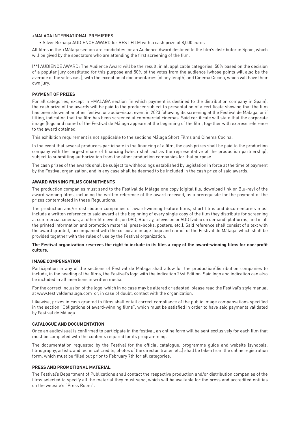#### +MALAGA INTERNATIONAL PREMIERES

• Silver Biznaga AUDIENCE AWARD for BEST FILM with a cash prize of 8,000 euros

All films in the +Málaga section are candidates for an Audience Award destined to the film's distributor in Spain, which will be gived by the spectators who are attending the first screening of the film.

(\*\*) AUDIENCE AWARD: The Audience Award will be the result, in all applicable categories, 50% based on the decision of a popular jury constituted for this purpose and 50% of the votes from the audience (whose points will also be the average of the votes cast), with the exception of documentaries (of any length) and Cinema Cocina, which will have their own jury.

#### **PAYMENT OF PRIZES**

For all categories, except in +MALAGA section (in which payment is destined to the distribution company in Spain), the cash prize of the awards will be paid to the producer subject to presentation of a certificate showing that the film has been shown at another festival or audio-visual event in 2023 following its screening at the Festival de Málaga, or if fitting, indicating that the film has been screened at commercial cinemas. Said certificate will state that the corporate image (logo and name) of the Festival de Málaga appears at the beginning of the film, together with express reference to the award obtained.

This exhibition requirement is not applicable to the sections Málaga Short Films and Cinema Cocina.

In the event that several producers participate in the financing of a film, the cash prizes shall be paid to the production company with the largest share of financing (which shall act as the representative of the production partnership), subject to submitting authorization from the other production companies for that purpose.

The cash prizes of the awards shall be subject to withholdings established by legislation in force at the time of payment by the Festival organization, and in any case shall be deemed to be included in the cash prize of said awards.

#### **AWARD WINNING FILMS COMMITMENTS**

The production companies must send to the Festival de Málaga one copy (digital file, download link or Blu-ray) of the award-winning films, including the written reference of the award received, as a prerequisite for the payment of the prizes contemplated in these Regulations.

The production and/or distribution companies of award-winning feature films, short films and documentaries must include a written reference to said award at the beginning of every single copy of the film they distribute for screening at commercial cinemas, at other film events, on DVD, Blu-ray, television or VOD (video on demand) platforms, and in all the printed information and promotion material (press-books, posters, etc.). Said reference shall consist of a text with the award granted, accompanied with the corporate image (logo and name) of the Festival de Málaga, which shall be provided together with the rules of use by the Festival organization.

#### **The Festival organization reserves the right to include in its files a copy of the award-winning films for non-profit culture.**

#### **IMAGE COMPENSATION**

Participation in any of the sections of Festival de Málaga shall allow for the production/distribution companies to include, in the heading of the films, the Festival's logo with the indication 26st Edition. Said logo and indication can also be included in all insertions in written media.

For the correct inclusion of the logo, which in no case may be altered or adapted, please read the Festival's style manual at www.festivaldemalaga.com or, in case of doubt, contact with the organization.

Likewise, prizes in cash granted to films shall entail correct compliance of the public image compensations specified in the section "Obligations of award-winning films", which must be satisfied in order to have said payments validated by Festival de Málaga.

#### **CATALOGUE AND DOCUMENTATION**

Once an audiovisual is confirmed to participate in the festival, an online form will be sent exclusively for each film that must be completed with the contents required for its programming.

The documentation requested by the Festival for the official catalogue, programme guide and website (synopsis, filmography, artistic and technical credits, photos of the director, trailer, etc.) shall be taken from the online registration form, which must be filled out prior to February 7th for all categories.

#### **PRESS AND PROMOTIONAL MATERIAL**

The Festival's Department of Publications shall contact the respective production and/or distribution companies of the films selected to specify all the material they must send, which will be available for the press and accredited entities on the website's "Press Room".